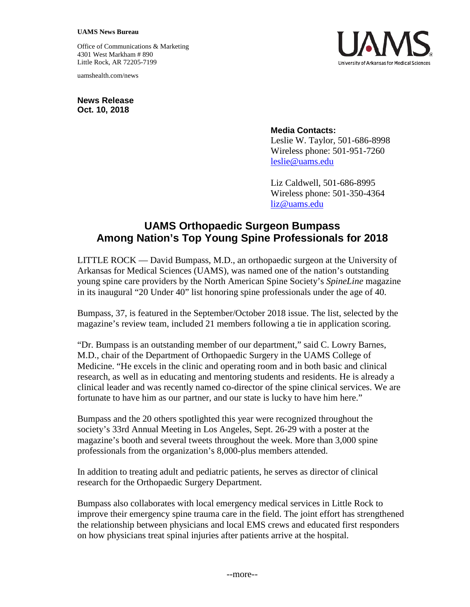## **UAMS News Bureau**

Office of Communications & Marketing 4301 West Markham # 890 Little Rock, AR 72205-7199

uamshealth.com/news



**News Release Oct. 10, 2018**

## **Media Contacts:**

Leslie W. Taylor, 501-686-8998 Wireless phone: 501-951-7260 [leslie@uams.edu](mailto:leslie@uams.edu)

Liz Caldwell, 501-686-8995 Wireless phone: 501-350-4364 liz@uams.edu

## **UAMS Orthopaedic Surgeon Bumpass Among Nation's Top Young Spine Professionals for 2018**

LITTLE ROCK — David Bumpass, M.D., an orthopaedic surgeon at the University of Arkansas for Medical Sciences (UAMS), was named one of the nation's outstanding young spine care providers by the North American Spine Society's *SpineLine* magazine in its inaugural "20 Under 40" list honoring spine professionals under the age of 40.

Bumpass, 37, is featured in the September/October 2018 issue. The list, selected by the magazine's review team, included 21 members following a tie in application scoring.

"Dr. Bumpass is an outstanding member of our department," said C. Lowry Barnes, M.D., chair of the Department of Orthopaedic Surgery in the UAMS College of Medicine. "He excels in the clinic and operating room and in both basic and clinical research, as well as in educating and mentoring students and residents. He is already a clinical leader and was recently named co-director of the spine clinical services. We are fortunate to have him as our partner, and our state is lucky to have him here."

Bumpass and the 20 others spotlighted this year were recognized throughout the society's 33rd Annual Meeting in Los Angeles, Sept. 26-29 with a poster at the magazine's booth and several tweets throughout the week. More than 3,000 spine professionals from the organization's 8,000-plus members attended.

In addition to treating adult and pediatric patients, he serves as director of clinical research for the Orthopaedic Surgery Department.

Bumpass also collaborates with local emergency medical services in Little Rock to improve their emergency spine trauma care in the field. The joint effort has strengthened the relationship between physicians and local EMS crews and educated first responders on how physicians treat spinal injuries after patients arrive at the hospital.